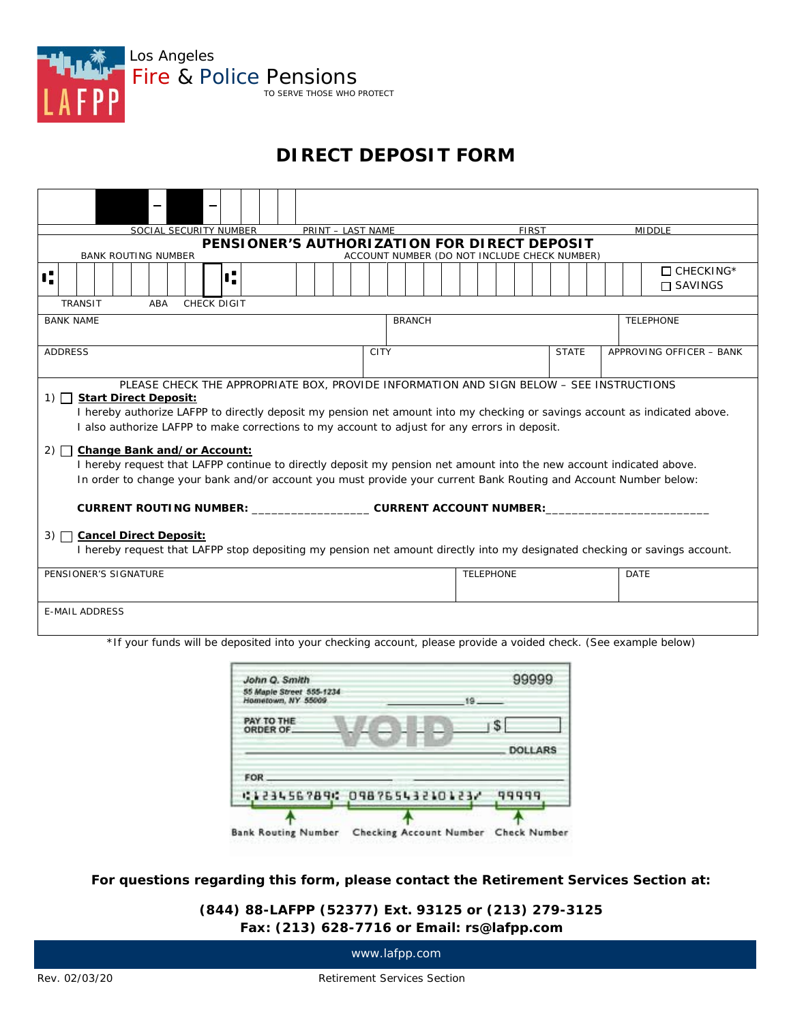

# **DIRECT DEPOSIT FORM**

| SOCIAL SECURITY NUMBER                                                                    | PRINT - LAST NAME                                                                                                                                                                                                                                                                                                                                                                                                                                                                                                                                                  | <b>FIRST</b> | <b>MIDDLE</b>            |
|-------------------------------------------------------------------------------------------|--------------------------------------------------------------------------------------------------------------------------------------------------------------------------------------------------------------------------------------------------------------------------------------------------------------------------------------------------------------------------------------------------------------------------------------------------------------------------------------------------------------------------------------------------------------------|--------------|--------------------------|
|                                                                                           | PENSIONER'S AUTHORIZATION FOR DIRECT DEPOSIT                                                                                                                                                                                                                                                                                                                                                                                                                                                                                                                       |              |                          |
| <b>BANK ROUTING NUMBER</b>                                                                | ACCOUNT NUMBER (DO NOT INCLUDE CHECK NUMBER)                                                                                                                                                                                                                                                                                                                                                                                                                                                                                                                       |              |                          |
| ť.<br>ť.                                                                                  |                                                                                                                                                                                                                                                                                                                                                                                                                                                                                                                                                                    |              | $\Box$ CHECKING*         |
|                                                                                           |                                                                                                                                                                                                                                                                                                                                                                                                                                                                                                                                                                    |              | $\Box$ SAVINGS           |
| <b>TRANSIT</b><br><b>CHECK DIGIT</b><br>ABA                                               |                                                                                                                                                                                                                                                                                                                                                                                                                                                                                                                                                                    |              |                          |
| <b>BANK NAME</b>                                                                          | <b>BRANCH</b>                                                                                                                                                                                                                                                                                                                                                                                                                                                                                                                                                      |              | <b>TELEPHONE</b>         |
|                                                                                           |                                                                                                                                                                                                                                                                                                                                                                                                                                                                                                                                                                    |              |                          |
| <b>ADDRESS</b>                                                                            | <b>CITY</b>                                                                                                                                                                                                                                                                                                                                                                                                                                                                                                                                                        | <b>STATE</b> | APPROVING OFFICER - BANK |
|                                                                                           |                                                                                                                                                                                                                                                                                                                                                                                                                                                                                                                                                                    |              |                          |
| <b>Start Direct Deposit:</b><br>$1)$ $\Box$<br>Change Bank and/or Account:<br>$2)$ $\Box$ | PLEASE CHECK THE APPROPRIATE BOX, PROVIDE INFORMATION AND SIGN BELOW - SEE INSTRUCTIONS<br>I hereby authorize LAFPP to directly deposit my pension net amount into my checking or savings account as indicated above.<br>I also authorize LAFPP to make corrections to my account to adjust for any errors in deposit.<br>I hereby request that LAFPP continue to directly deposit my pension net amount into the new account indicated above.<br>In order to change your bank and/or account you must provide your current Bank Routing and Account Number below: |              |                          |
|                                                                                           | CURRENT ROUTING NUMBER: ______________________CURRENT ACCOUNT NUMBER: _________                                                                                                                                                                                                                                                                                                                                                                                                                                                                                    |              |                          |
| <b>Cancel Direct Deposit:</b><br>3) $\Box$                                                | I hereby request that LAFPP stop depositing my pension net amount directly into my designated checking or savings account.                                                                                                                                                                                                                                                                                                                                                                                                                                         |              |                          |
| PENSIONER'S SIGNATURE                                                                     | <b>TELEPHONE</b>                                                                                                                                                                                                                                                                                                                                                                                                                                                                                                                                                   |              | <b>DATE</b>              |
| <b>E-MAIL ADDRESS</b>                                                                     |                                                                                                                                                                                                                                                                                                                                                                                                                                                                                                                                                                    |              |                          |
|                                                                                           | the your funds will be deposited into your sheeking assessment please provide a voided sheek (See example below)                                                                                                                                                                                                                                                                                                                                                                                                                                                   |              |                          |

\*If your funds will be deposited into your checking account, please provide a voided check. (See example below)

| $19 - 1$                             |
|--------------------------------------|
|                                      |
| s<br>DOLLARS                         |
| 41234567894 09876543210123/<br>99999 |
|                                      |

**For questions regarding this form, please contact the Retirement Services Section at:**

**(844) 88-LAFPP (52377) Ext. 93125 or (213) 279-3125 Fax: (213) 628-7716 or Email: rs@lafpp.com**

www.lafpp.com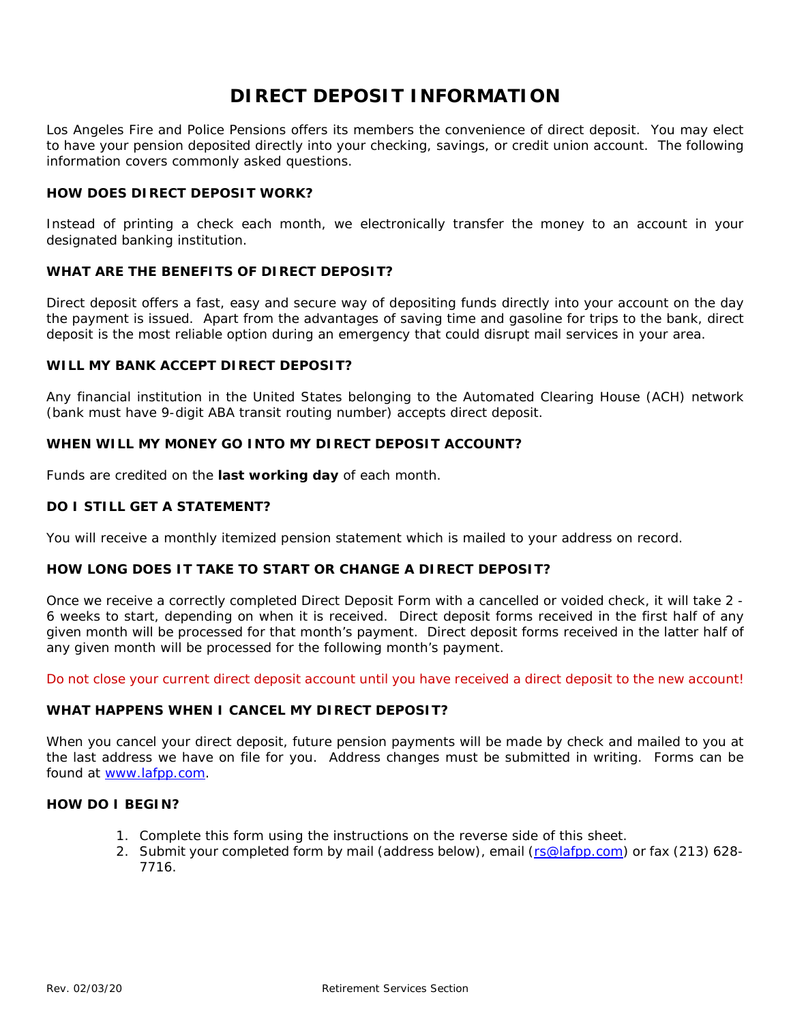# **DIRECT DEPOSIT INFORMATION**

Los Angeles Fire and Police Pensions offers its members the convenience of direct deposit. You may elect to have your pension deposited directly into your checking, savings, or credit union account. The following information covers commonly asked questions.

## **HOW DOES DIRECT DEPOSIT WORK?**

Instead of printing a check each month, we electronically transfer the money to an account in your designated banking institution.

# **WHAT ARE THE BENEFITS OF DIRECT DEPOSIT?**

Direct deposit offers a fast, easy and secure way of depositing funds directly into your account on the day the payment is issued. Apart from the advantages of saving time and gasoline for trips to the bank, direct deposit is the most reliable option during an emergency that could disrupt mail services in your area.

#### **WILL MY BANK ACCEPT DIRECT DEPOSIT?**

Any financial institution in the United States belonging to the Automated Clearing House (ACH) network (bank must have 9-digit ABA transit routing number) accepts direct deposit.

## **WHEN WILL MY MONEY GO INTO MY DIRECT DEPOSIT ACCOUNT?**

Funds are credited on the *last working day* of each month.

## **DO I STILL GET A STATEMENT?**

You will receive a monthly itemized pension statement which is mailed to your address on record.

#### **HOW LONG DOES IT TAKE TO START OR CHANGE A DIRECT DEPOSIT?**

Once we receive a correctly completed Direct Deposit Form with a cancelled or voided check, it will take 2 - 6 weeks to start, depending on when it is received. Direct deposit forms received in the first half of any given month will be processed for that month's payment. Direct deposit forms received in the latter half of any given month will be processed for the following month's payment.

*Do not close your current direct deposit account until you have received a direct deposit to the new account!*

# **WHAT HAPPENS WHEN I CANCEL MY DIRECT DEPOSIT?**

When you cancel your direct deposit, future pension payments will be made by check and mailed to you at the last address we have on file for you. Address changes must be submitted in writing. Forms can be found at [www.lafpp.com.](http://www.lafpp.com/)

# **HOW DO I BEGIN?**

- 1. Complete this form using the instructions on the reverse side of this sheet.
- 2. Submit your completed form by mail (address below), email [\(rs@lafpp.com\)](mailto:rs@lafpp.com) or fax (213) 628- 7716.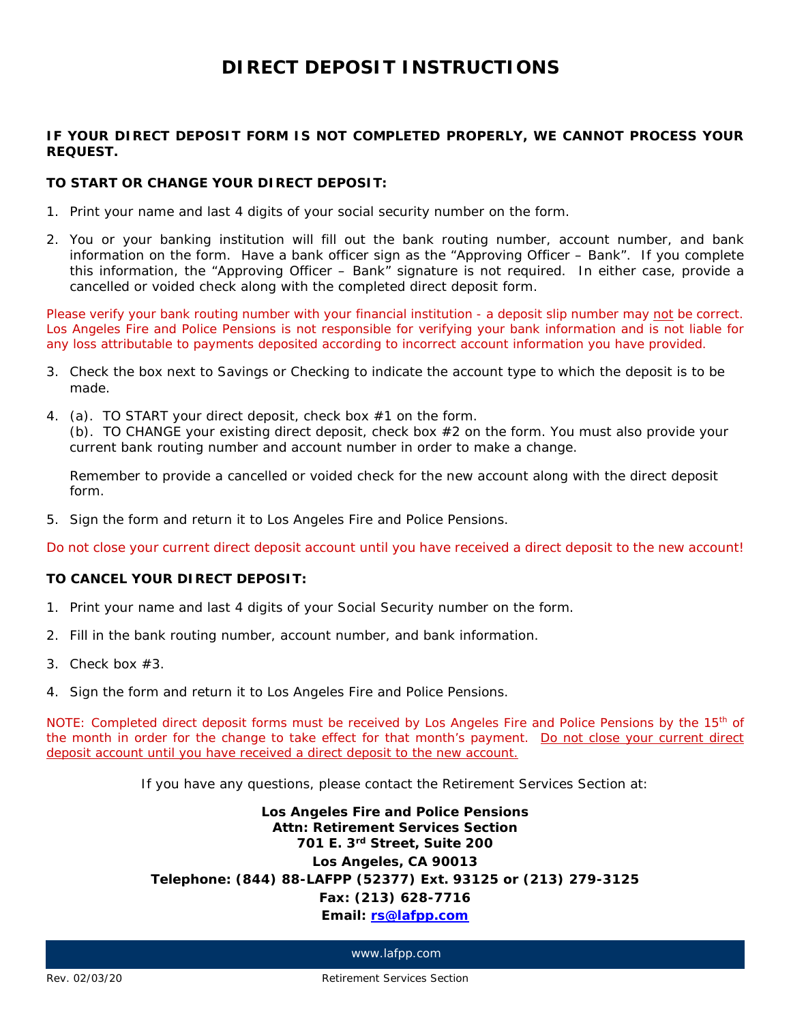# **DIRECT DEPOSIT INSTRUCTIONS**

# **IF YOUR DIRECT DEPOSIT FORM IS NOT COMPLETED PROPERLY, WE CANNOT PROCESS YOUR REQUEST.**

#### **TO START OR CHANGE YOUR DIRECT DEPOSIT:**

- 1. Print your name and last 4 digits of your social security number on the form.
- 2. You or your banking institution will fill out the bank routing number, account number, and bank information on the form. Have a bank officer sign as the "Approving Officer – Bank". If you complete this information, the "Approving Officer – Bank" signature is not required. In either case, provide a cancelled or voided check along with the completed direct deposit form.

*Please verify your bank routing number with your financial institution - a deposit slip number may not be correct. Los Angeles Fire and Police Pensions is not responsible for verifying your bank information and is not liable for any loss attributable to payments deposited according to incorrect account information you have provided.*

- 3. Check the box next to Savings or Checking to indicate the account type to which the deposit is to be made.
- 4. (a). TO START your direct deposit, check box #1 on the form. (b). TO CHANGE your existing direct deposit, check box #2 on the form. You must also provide your current bank routing number and account number in order to make a change.

Remember to provide a cancelled or voided check for the new account along with the direct deposit form.

5. Sign the form and return it to Los Angeles Fire and Police Pensions.

*Do not close your current direct deposit account until you have received a direct deposit to the new account!*

# **TO CANCEL YOUR DIRECT DEPOSIT:**

- 1. Print your name and last 4 digits of your Social Security number on the form.
- 2. Fill in the bank routing number, account number, and bank information.
- 3. Check box #3.
- 4. Sign the form and return it to Los Angeles Fire and Police Pensions.

*NOTE: Completed direct deposit forms must be received by Los Angeles Fire and Police Pensions by the 15th of the month in order for the change to take effect for that month's payment. Do not close your current direct deposit account until you have received a direct deposit to the new account.*

If you have any questions, please contact the Retirement Services Section at:

**Los Angeles Fire and Police Pensions Attn: Retirement Services Section 701 E. 3rd Street, Suite 200 Los Angeles, CA 90013 Telephone: (844) 88-LAFPP (52377) Ext. 93125 or (213) 279-3125 Fax: (213) 628-7716 Email: [rs@lafpp.com](mailto:rs@lafpp.com)**

www.lafpp.com